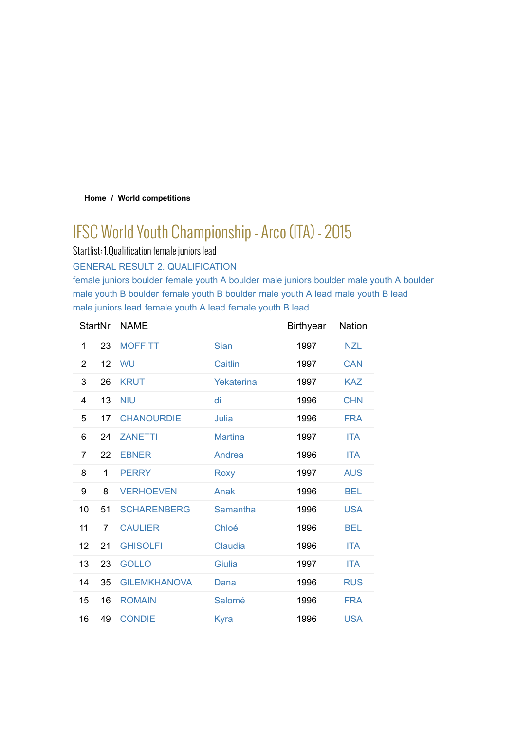### **Home / World competitions**

# IFSC World Youth Championship - Arco (ITA) - 2015

Startlist: 1.Qualification female juniors lead

GENERAL RESULT 2. QUALIFICATION

female juniors boulder female youth A boulder male juniors boulder male youth A boulder male youth B boulder female youth B boulder male youth A lead male youth B lead male juniors lead female youth A lead female youth B lead

| <b>StartNr</b> |                | <b>NAME</b>         |                | <b>Birthyear</b> | Nation     |
|----------------|----------------|---------------------|----------------|------------------|------------|
| 1              | 23             | <b>MOFFITT</b>      | Sian           | 1997             | <b>NZL</b> |
| $\overline{2}$ | 12             | WU                  | Caitlin        | 1997             | <b>CAN</b> |
| 3              | 26             | <b>KRUT</b>         | Yekaterina     | 1997             | <b>KAZ</b> |
| 4              | 13             | <b>NIU</b>          | di             | 1996             | <b>CHN</b> |
| 5              | 17             | <b>CHANOURDIE</b>   | Julia          | 1996             | <b>FRA</b> |
| 6              | 24             | <b>ZANETTI</b>      | <b>Martina</b> | 1997             | <b>ITA</b> |
| 7              | 22             | <b>EBNER</b>        | Andrea         | 1996             | <b>ITA</b> |
| 8              | 1              | <b>PERRY</b>        | Roxy           | 1997             | <b>AUS</b> |
| 9              | 8              | <b>VERHOEVEN</b>    | Anak           | 1996             | <b>BEL</b> |
| 10             | 51             | <b>SCHARENBERG</b>  | Samantha       | 1996             | <b>USA</b> |
| 11             | $\overline{7}$ | <b>CAULIER</b>      | Chloé          | 1996             | <b>BEL</b> |
| 12             | 21             | <b>GHISOLFI</b>     | Claudia        | 1996             | <b>ITA</b> |
| 13             | 23             | <b>GOLLO</b>        | Giulia         | 1997             | <b>ITA</b> |
| 14             | 35             | <b>GILEMKHANOVA</b> | Dana           | 1996             | <b>RUS</b> |
| 15             | 16             | <b>ROMAIN</b>       | Salomé         | 1996             | <b>FRA</b> |
| 16             | 49             | <b>CONDIE</b>       | Kyra           | 1996             | <b>USA</b> |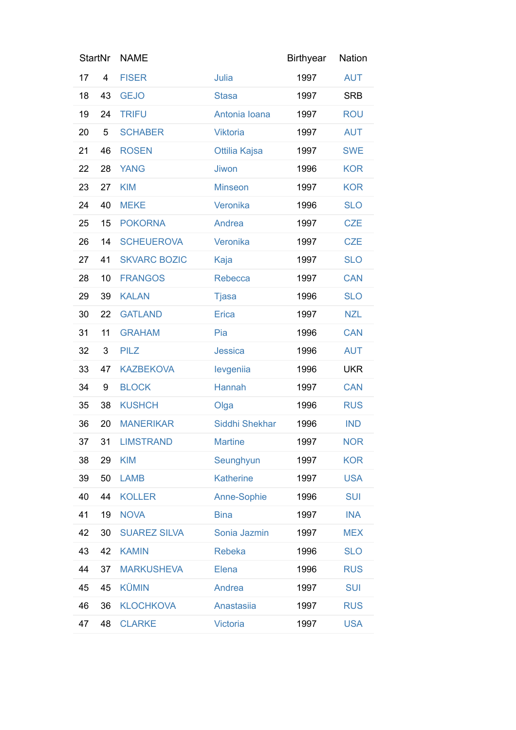| <b>StartNr</b> |    | <b>NAME</b>         |                  | <b>Birthyear</b> | <b>Nation</b> |
|----------------|----|---------------------|------------------|------------------|---------------|
| 17             | 4  | <b>FISER</b>        | Julia            | 1997             | <b>AUT</b>    |
| 18             | 43 | <b>GEJO</b>         | <b>Stasa</b>     | 1997             | <b>SRB</b>    |
| 19             | 24 | <b>TRIFU</b>        | Antonia Ioana    | 1997             | <b>ROU</b>    |
| 20             | 5  | <b>SCHABER</b>      | <b>Viktoria</b>  | 1997             | <b>AUT</b>    |
| 21             | 46 | <b>ROSEN</b>        | Ottilia Kajsa    | 1997             | <b>SWE</b>    |
| 22             | 28 | <b>YANG</b>         | <b>Jiwon</b>     | 1996             | <b>KOR</b>    |
| 23             | 27 | <b>KIM</b>          | <b>Minseon</b>   | 1997             | <b>KOR</b>    |
| 24             | 40 | <b>MEKE</b>         | Veronika         | 1996             | <b>SLO</b>    |
| 25             | 15 | <b>POKORNA</b>      | Andrea           | 1997             | <b>CZE</b>    |
| 26             | 14 | <b>SCHEUEROVA</b>   | Veronika         | 1997             | <b>CZE</b>    |
| 27             | 41 | <b>SKVARC BOZIC</b> | Kaja             | 1997             | <b>SLO</b>    |
| 28             | 10 | <b>FRANGOS</b>      | Rebecca          | 1997             | <b>CAN</b>    |
| 29             | 39 | <b>KALAN</b>        | <b>Tjasa</b>     | 1996             | <b>SLO</b>    |
| 30             | 22 | <b>GATLAND</b>      | Erica            | 1997             | <b>NZL</b>    |
| 31             | 11 | <b>GRAHAM</b>       | Pia              | 1996             | <b>CAN</b>    |
| 32             | 3  | <b>PILZ</b>         | <b>Jessica</b>   | 1996             | <b>AUT</b>    |
| 33             | 47 | <b>KAZBEKOVA</b>    | levgeniia        | 1996             | <b>UKR</b>    |
| 34             | 9  | <b>BLOCK</b>        | Hannah           | 1997             | <b>CAN</b>    |
| 35             | 38 | <b>KUSHCH</b>       | Olga             | 1996             | <b>RUS</b>    |
| 36             | 20 | <b>MANERIKAR</b>    | Siddhi Shekhar   | 1996             | <b>IND</b>    |
| 37             | 31 | <b>LIMSTRAND</b>    | <b>Martine</b>   | 1997             | <b>NOR</b>    |
| 38             | 29 | <b>KIM</b>          | Seunghyun        | 1997             | <b>KOR</b>    |
| 39             | 50 | <b>LAMB</b>         | <b>Katherine</b> | 1997             | <b>USA</b>    |
| 40             | 44 | <b>KOLLER</b>       | Anne-Sophie      | 1996             | <b>SUI</b>    |
| 41             | 19 | <b>NOVA</b>         | <b>Bina</b>      | 1997             | <b>INA</b>    |
| 42             | 30 | <b>SUAREZ SILVA</b> | Sonia Jazmin     | 1997             | <b>MEX</b>    |
| 43             | 42 | <b>KAMIN</b>        | <b>Rebeka</b>    | 1996             | <b>SLO</b>    |
| 44             | 37 | <b>MARKUSHEVA</b>   | Elena            | 1996             | <b>RUS</b>    |
| 45             | 45 | <b>KÜMIN</b>        | Andrea           | 1997             | <b>SUI</b>    |
| 46             | 36 | <b>KLOCHKOVA</b>    | Anastasiia       | 1997             | <b>RUS</b>    |
| 47             | 48 | <b>CLARKE</b>       | <b>Victoria</b>  | 1997             | <b>USA</b>    |